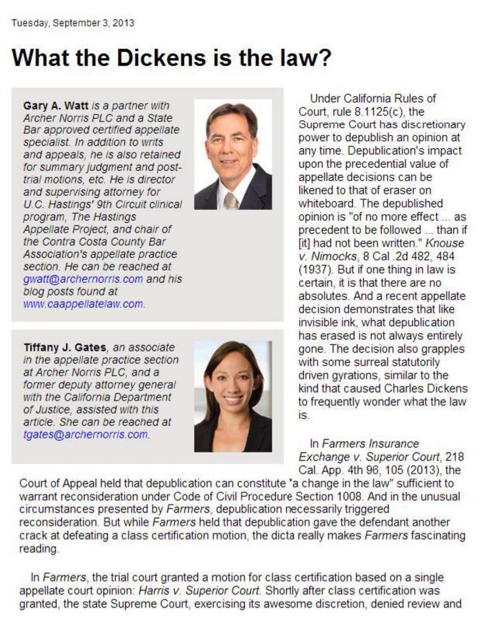## **What the Dickens is the law?**

Gary A. Watt is a partner with Archer Norris PLC and a State Bar approved certified appellate specialist. In addition to writs and appeals, he is also retained for summary judgment and posttrial motions, etc. He is director and supervising attorney for U.C. Hastings' 9th Circuit clinical program. The Hastings Appellate Project, and chair of the Contra Costa County Bar Association's appellate practice section. He can be reached at qwatt@archernorris.com and his blog posts found at www.caappellatelaw.com.



Tiffany J. Gates, an associate in the appellate practice section at Archer Norris PLC, and a former deputy attorney general with the California Department of Justice, assisted with this article. She can be reached at tgates@archernorris.com.



Under California Rules of Court, rule 8.1125(c), the Supreme Court has discretionary power to depublish an opinion at any time. Depublication's impact upon the precedential value of appellate decisions can be likened to that of eraser on whiteboard. The depublished opinion is "of no more effect ... as precedent to be followed ... than if fit] had not been written." Knouse v. Nimocks, 8 Cal 2d 482, 484 (1937). But if one thing in law is certain, it is that there are no absolutes. And a recent appellate decision demonstrates that like invisible ink, what depublication has erased is not always entirely gone. The decision also grapples with some surreal statutorily driven gyrations, similar to the kind that caused Charles Dickens to frequently wonder what the law  $is$ 

In Farmers Insurance Exchange v. Superior Court, 218 Cal. App. 4th 96, 105 (2013), the

Court of Appeal held that depublication can constitute "a change in the law" sufficient to warrant reconsideration under Code of Civil Procedure Section 1008. And in the unusual circumstances presented by Farmers, depublication necessarily triggered reconsideration. But while Farmers held that depublication gave the defendant another crack at defeating a class certification motion, the dicta really makes Farmers fascinating reading.

In Farmers, the trial court granted a motion for class certification based on a single appellate court opinion: Harris v. Superior Court. Shortly after class certification was granted, the state Supreme Court, exercising its awesome discretion, denied review and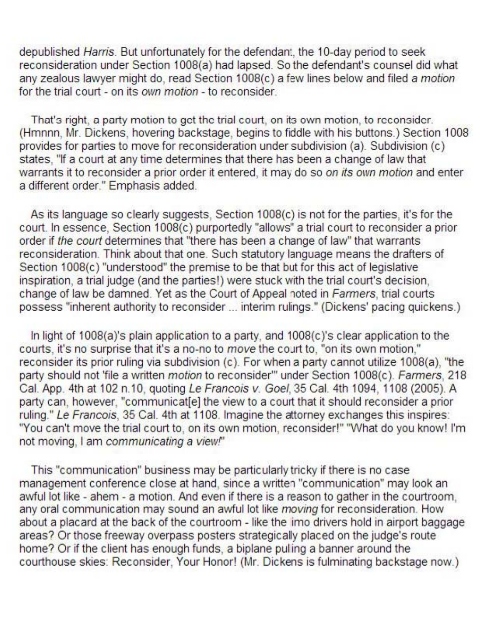depublished Harris. But unfortunately for the defendant, the 10-day period to seek reconsideration under Section 1008(a) had lapsed. So the defendant's counsel did what any zealous lawyer might do, read Section 1008(c) a few lines below and filed a motion for the trial court - on its own motion - to reconsider.

That's right, a party motion to get the trial court, on its own motion, to reconsider. (Hmnnn, Mr. Dickens, hovering backstage, begins to fiddle with his buttons.) Section 1008 provides for parties to move for reconsideration under subdivision (a). Subdivision (c) states, "If a court at any time determines that there has been a change of law that warrants it to reconsider a prior order it entered, it may do so on its own motion and enter a different order." Emphasis added.

As its language so clearly suggests, Section 1008(c) is not for the parties, it's for the court. In essence, Section 1008(c) purportedly "allows" a trial court to reconsider a prior order if the court determines that "there has been a change of law" that warrants reconsideration. Think about that one. Such statutory language means the drafters of Section 1008(c) "understood" the premise to be that but for this act of legislative inspiration, a trial judge (and the parties!) were stuck with the trial court's decision, change of law be damned. Yet as the Court of Appeal noted in Farmers, trial courts possess "inherent authority to reconsider ... interim rulings." (Dickens' pacing quickens.)

In light of 1008(a)'s plain application to a party, and 1008(c)'s clear application to the courts, it's no surprise that it's a no-no to move the court to, "on its own motion," reconsider its prior ruling via subdivision (c). For when a party cannot utilize 1008(a), "the party should not 'file a written motion to reconsider'" under Section 1008(c). Farmers, 218 Cal. App. 4th at 102 n.10, quoting Le Francois v. Goel, 35 Cal. 4th 1094, 1108 (2005). A party can, however, "communicat[e] the view to a court that it should reconsider a prior ruling." Le Francois, 35 Cal. 4th at 1108. Imagine the attorney exchanges this inspires: "You can't move the trial court to, on its own motion, reconsider!" "What do you know! I'm not moving, I am communicating a view.<sup>"</sup>

This "communication" business may be particularly tricky if there is no case management conference close at hand, since a written "communication" may look an awful lot like - ahem - a motion. And even if there is a reason to gather in the courtroom, any oral communication may sound an awful lot like moving for reconsideration. How about a placard at the back of the courtroom - like the imo drivers hold in airport baggage areas? Or those freeway overpass posters strategically placed on the judge's route home? Or if the client has enough funds, a biplane puling a banner around the courthouse skies: Reconsider, Your Honor! (Mr. Dickens is fulminating backstage now.)